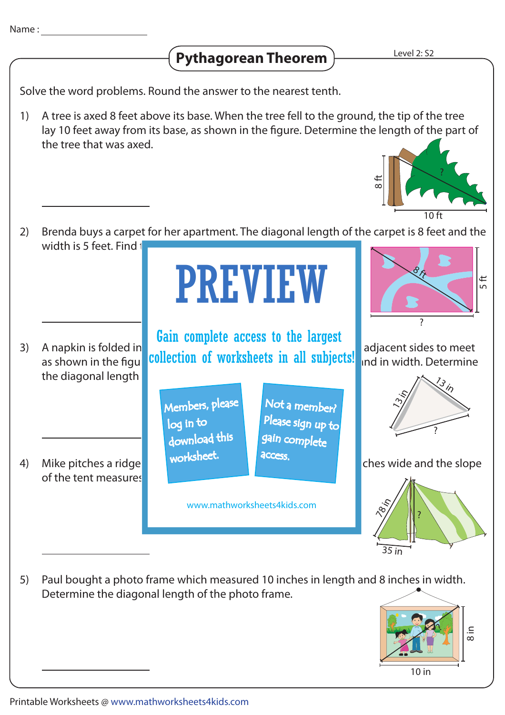## **Pythagorean Theorem**

Solve the word problems. Round the answer to the nearest tenth.

A tree is axed 8 feet above its base. When the tree fell to the ground, the tip of the tree lay 10 feet away from its base, as shown in the figure. Determine the length of the part of the tree that was axed. 1)



- Brenda buys a carpet for her apartment. The diagonal length of the carpet is 8 feet and the width is 5 feet. Find  $t$ 2) 5 ft  $\frac{8}{3}$ PREVIEW
- the diagonal length 3)

of the tent measures 4)

A napkin is folded in the shape of a right triangle, so adjacent sides to meet A happen is folded in **collection of worksheets in all subjects!** and in width. Determine Gain complete access to the largest

> Members, please download this worksheet. log in to

Not a member? gain complete Please sign up to **access** 

www.mathworksheets4kids.com



?

Mike pitches a ridge tent worksheed that the tent is 70 inches wide and the slope



Paul bought a photo frame which measured 10 inches in length and 8 inches in width. Determine the diagonal length of the photo frame. 5)